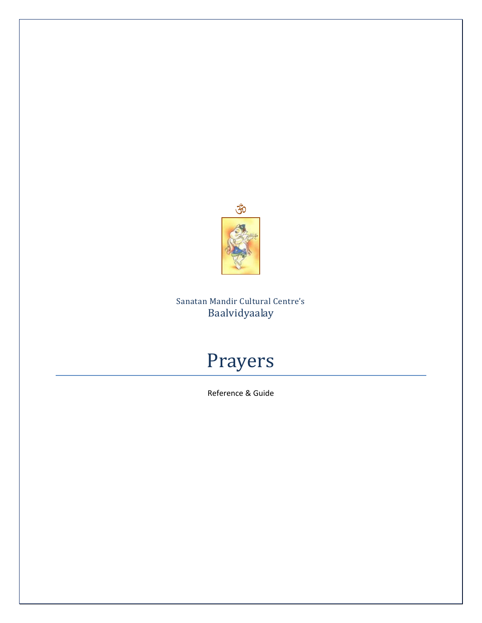

# Sanatan Mandir Cultural Centre's Baalvidyaalay

# Prayers

Reference & Guide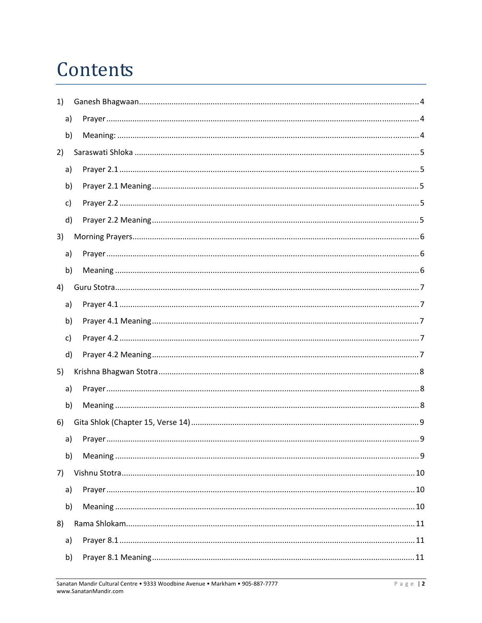# Contents

| 1) |  |
|----|--|
| a) |  |
| b) |  |
| 2) |  |
| a) |  |
| b) |  |
| c) |  |
| d) |  |
| 3) |  |
| a) |  |
| b) |  |
| 4) |  |
| a) |  |
| b) |  |
| c) |  |
| d) |  |
| 5) |  |
| a) |  |
| b) |  |
| 6) |  |
| a) |  |
| b) |  |
| 7) |  |
| a) |  |
| b) |  |
| 8) |  |
| a) |  |
| b) |  |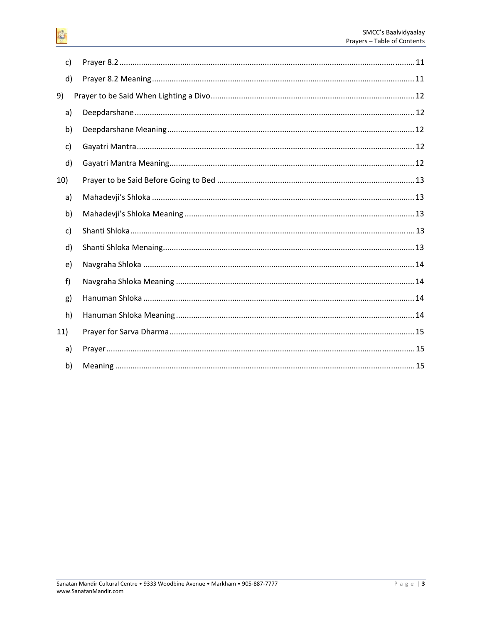$\mathsf{C}$ 

| d)  |  |
|-----|--|
| 9)  |  |
| a)  |  |
| b)  |  |
| c)  |  |
| d)  |  |
| 10) |  |
| a)  |  |
| b)  |  |
| c)  |  |
| d)  |  |
| e)  |  |
| f)  |  |
| g)  |  |
| h)  |  |
| 11) |  |
| a)  |  |
| b)  |  |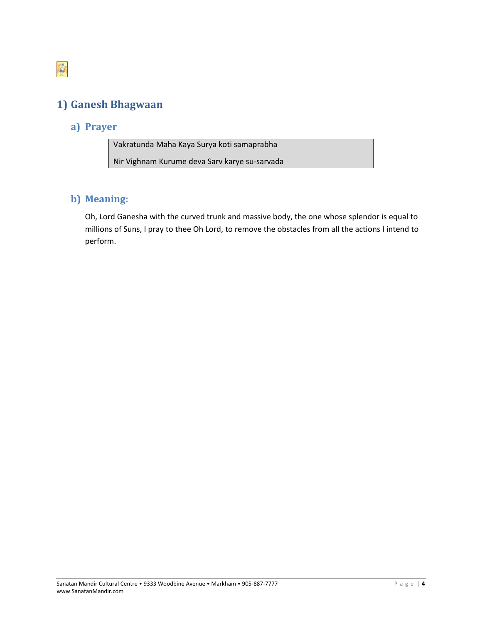<span id="page-3-0"></span>

# **1) Ganesh Bhagwaan**

## **a) Prayer**

Vakratunda Maha Kaya Surya koti samaprabha Nir Vighnam Kurume deva Sarv karye su‐sarvada

#### **b) Meaning:**

Oh, Lord Ganesha with the curved trunk and massive body, the one whose splendor is equal to millions of Suns, I pray to thee Oh Lord, to remove the obstacles from all the actions I intend to perform.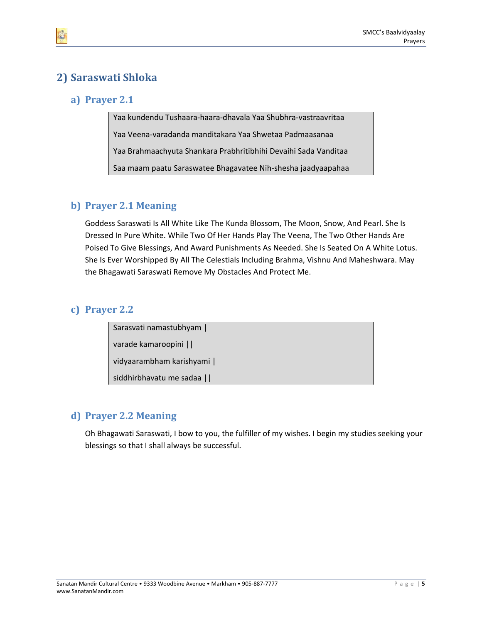# <span id="page-4-0"></span>**2) Saraswati Shloka**

#### **a) Prayer 2.1**

Yaa kundendu Tushaara‐haara‐dhavala Yaa Shubhra‐vastraavritaa Yaa Veena‐varadanda manditakara Yaa Shwetaa Padmaasanaa Yaa Brahmaachyuta Shankara Prabhritibhihi Devaihi Sada Vanditaa Saa maam paatu Saraswatee Bhagavatee Nih‐shesha jaadyaapahaa

#### **b) Prayer 2.1 Meaning**

Goddess Saraswati Is All White Like The Kunda Blossom, The Moon, Snow, And Pearl. She Is Dressed In Pure White. While Two Of Her Hands Play The Veena, The Two Other Hands Are Poised To Give Blessings, And Award Punishments As Needed. She Is Seated On A White Lotus. She Is Ever Worshipped By All The Celestials Including Brahma, Vishnu And Maheshwara. May the Bhagawati Saraswati Remove My Obstacles And Protect Me.

#### **c) Prayer 2.2**

Sarasvati namastubhyam |

varade kamaroopini ||

vidyaarambham karishyami |

siddhirbhavatu me sadaa ||

## **d) Prayer 2.2 Meaning**

Oh Bhagawati Saraswati, I bow to you, the fulfiller of my wishes. I begin my studies seeking your blessings so that I shall always be successful.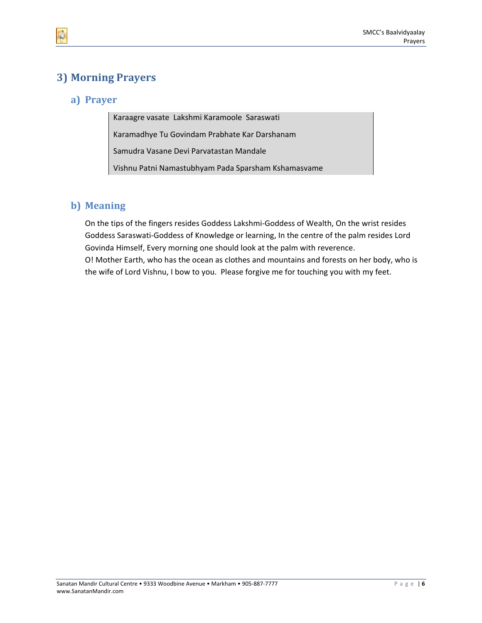# <span id="page-5-0"></span>**3) Morning Prayers**

## **a) Prayer**

Karaagre vasate Lakshmi Karamoole Saraswati Karamadhye Tu Govindam Prabhate Kar Darshanam Samudra Vasane Devi Parvatastan Mandale Vishnu Patni Namastubhyam Pada Sparsham Kshamasvame

## **b) Meaning**

On the tips of the fingers resides Goddess Lakshmi‐Goddess of Wealth, On the wrist resides Goddess Saraswati‐Goddess of Knowledge or learning, In the centre of the palm resides Lord Govinda Himself, Every morning one should look at the palm with reverence. O! Mother Earth, who has the ocean as clothes and mountains and forests on her body, who is the wife of Lord Vishnu, I bow to you. Please forgive me for touching you with my feet.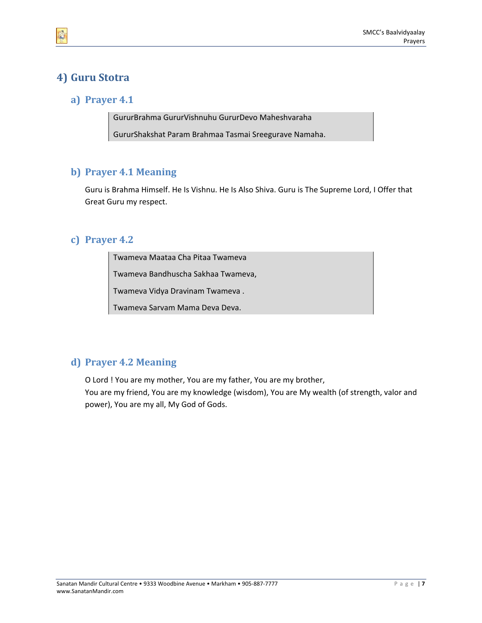# <span id="page-6-0"></span>**4) Guru Stotra**

#### **a) Prayer 4.1**

GururBrahma GururVishnuhu GururDevo Maheshvaraha GururShakshat Param Brahmaa Tasmai Sreegurave Namaha.

## **b) Prayer 4.1 Meaning**

Guru is Brahma Himself. He Is Vishnu. He Is Also Shiva. Guru is The Supreme Lord, I Offer that Great Guru my respect.

#### **c) Prayer 4.2**

Twameva Maataa Cha Pitaa Twameva

Twameva Bandhuscha Sakhaa Twameva,

Twameva Vidya Dravinam Twameva .

Twameva Sarvam Mama Deva Deva.

## **d) Prayer 4.2 Meaning**

O Lord ! You are my mother, You are my father, You are my brother,

You are my friend, You are my knowledge (wisdom), You are My wealth (of strength, valor and power), You are my all, My God of Gods.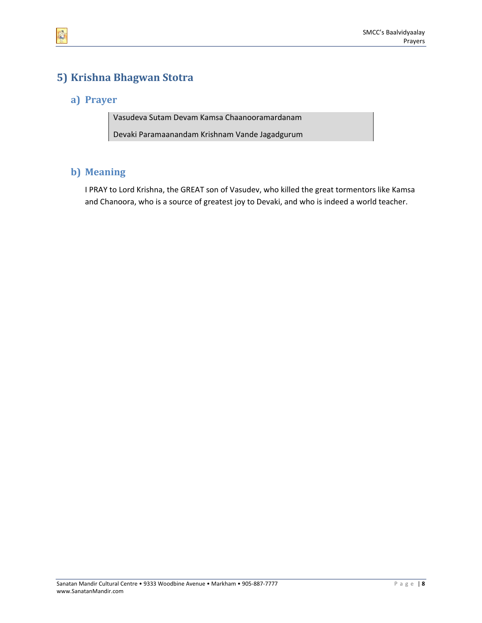# <span id="page-7-0"></span>**5) Krishna Bhagwan Stotra**

#### **a) Prayer**

Vasudeva Sutam Devam Kamsa Chaanooramardanam Devaki Paramaanandam Krishnam Vande Jagadgurum

#### **b) Meaning**

I PRAY to Lord Krishna, the GREAT son of Vasudev, who killed the great tormentors like Kamsa and Chanoora, who is a source of greatest joy to Devaki, and who is indeed a world teacher.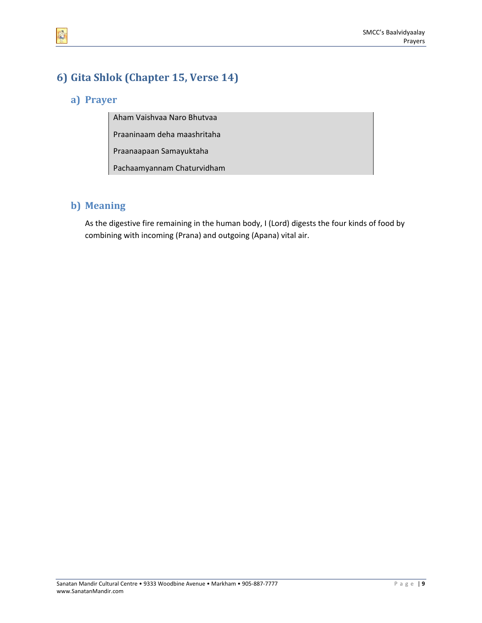# <span id="page-8-0"></span>**6) Gita Shlok (Chapter 15, Verse 14)**

## **a) Prayer**

Aham Vaishvaa Naro Bhutvaa

Praaninaam deha maashritaha

Praanaapaan Samayuktaha

Pachaamyannam Chaturvidham

## **b) Meaning**

As the digestive fire remaining in the human body, I (Lord) digests the four kinds of food by combining with incoming (Prana) and outgoing (Apana) vital air.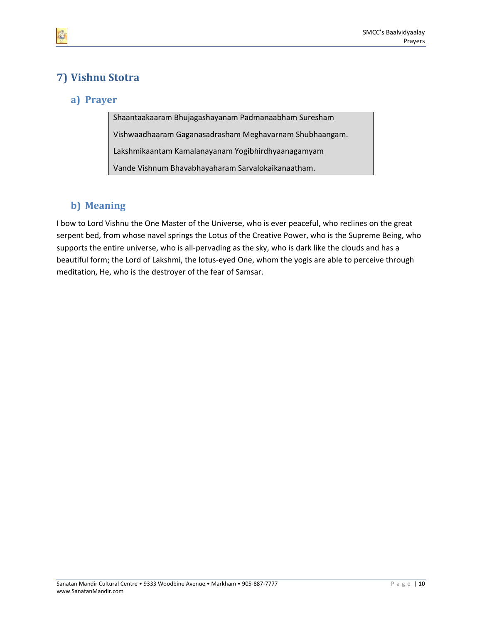# <span id="page-9-0"></span>**7) Vishnu Stotra**

## **a) Prayer**

Shaantaakaaram Bhujagashayanam Padmanaabham Suresham Vishwaadhaaram Gaganasadrasham Meghavarnam Shubhaangam. Lakshmikaantam Kamalanayanam Yogibhirdhyaanagamyam Vande Vishnum Bhavabhayaharam Sarvalokaikanaatham.

## **b) Meaning**

I bow to Lord Vishnu the One Master of the Universe, who is ever peaceful, who reclines on the great serpent bed, from whose navel springs the Lotus of the Creative Power, who is the Supreme Being, who supports the entire universe, who is all-pervading as the sky, who is dark like the clouds and has a beautiful form; the Lord of Lakshmi, the lotus‐eyed One, whom the yogis are able to perceive through meditation, He, who is the destroyer of the fear of Samsar.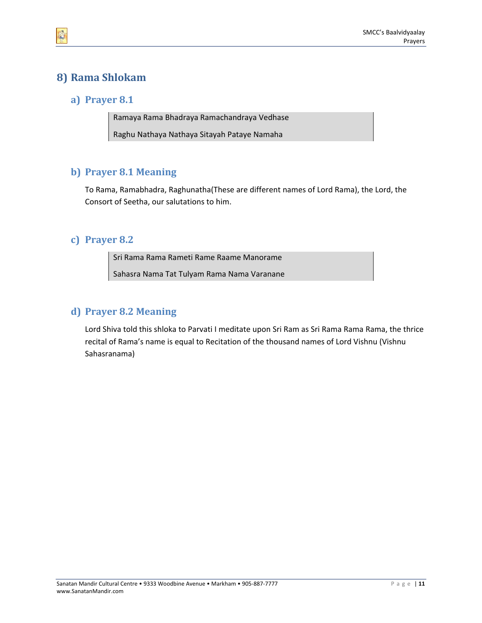# <span id="page-10-0"></span>**8) Rama Shlokam**

#### **a) Prayer 8.1**

Ramaya Rama Bhadraya Ramachandraya Vedhase Raghu Nathaya Nathaya Sitayah Pataye Namaha

## **b) Prayer 8.1 Meaning**

To Rama, Ramabhadra, Raghunatha(These are different names of Lord Rama), the Lord, the Consort of Seetha, our salutations to him.

#### **c) Prayer 8.2**

Sri Rama Rama Rameti Rame Raame Manorame

Sahasra Nama Tat Tulyam Rama Nama Varanane

#### **d) Prayer 8.2 Meaning**

Lord Shiva told this shloka to Parvati I meditate upon Sri Ram as Sri Rama Rama Rama, the thrice recital of Rama's name is equal to Recitation of the thousand names of Lord Vishnu (Vishnu Sahasranama)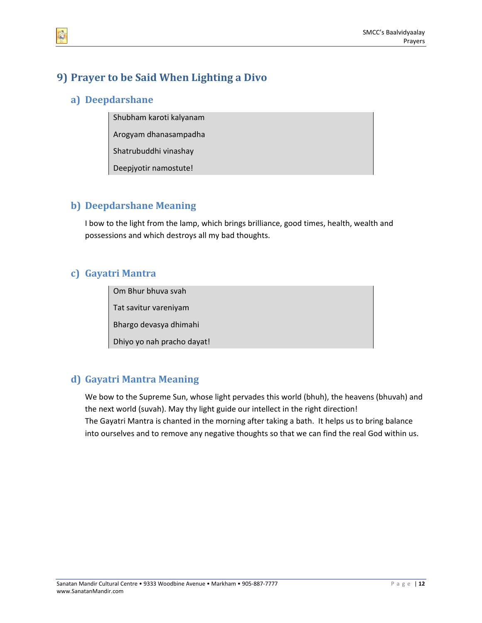# <span id="page-11-0"></span>**9) Prayer to be Said When Lighting a Divo**

#### **a) Deepdarshane**

Shubham karoti kalyanam

Arogyam dhanasampadha

Shatrubuddhi vinashay

Deepjyotir namostute!

#### **b) Deepdarshane Meaning**

I bow to the light from the lamp, which brings brilliance, good times, health, wealth and possessions and which destroys all my bad thoughts.

## **c) Gayatri Mantra**

Om Bhur bhuva svah

Tat savitur vareniyam

Bhargo devasya dhimahi

Dhiyo yo nah pracho dayat!

## **d) Gayatri Mantra Meaning**

We bow to the Supreme Sun, whose light pervades this world (bhuh), the heavens (bhuvah) and the next world (suvah). May thy light guide our intellect in the right direction! The Gayatri Mantra is chanted in the morning after taking a bath. It helps us to bring balance into ourselves and to remove any negative thoughts so that we can find the real God within us.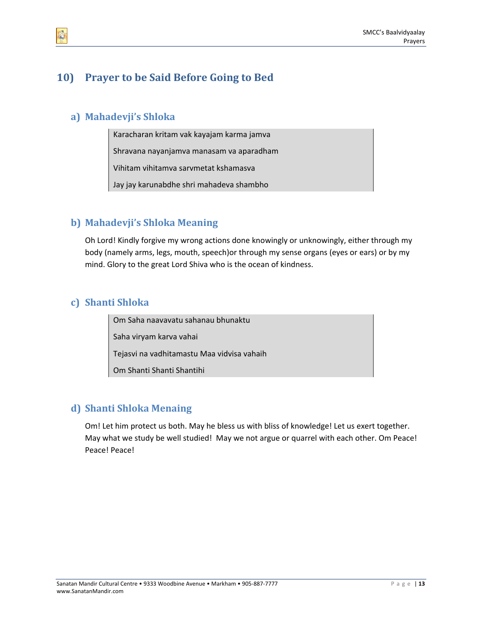# <span id="page-12-0"></span>**10) Prayer to be Said Before Going to Bed**

## **a) Mahadevji's Shloka**

Karacharan kritam vak kayajam karma jamva

Shravana nayanjamva manasam va aparadham

Vihitam vihitamva sarvmetat kshamasva

Jay jay karunabdhe shri mahadeva shambho

## **b) Mahadevji's Shloka Meaning**

Oh Lord! Kindly forgive my wrong actions done knowingly or unknowingly, either through my body (namely arms, legs, mouth, speech)or through my sense organs (eyes or ears) or by my mind. Glory to the great Lord Shiva who is the ocean of kindness.

## **c) Shanti Shloka**

Om Saha naavavatu sahanau bhunaktu Saha viryam karva vahai

Tejasvi na vadhitamastu Maa vidvisa vahaih

Om Shanti Shanti Shantihi

#### **d) Shanti Shloka Menaing**

Om! Let him protect us both. May he bless us with bliss of knowledge! Let us exert together. May what we study be well studied! May we not argue or quarrel with each other. Om Peace! Peace! Peace!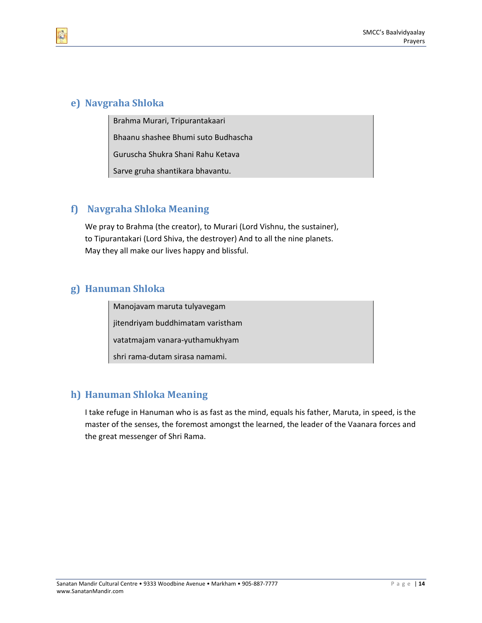#### <span id="page-13-0"></span>**e) Navgraha Shloka**

Brahma Murari, Tripurantakaari

Bhaanu shashee Bhumi suto Budhascha

Guruscha Shukra Shani Rahu Ketava

Sarve gruha shantikara bhavantu.

## **f) Navgraha Shloka Meaning**

We pray to Brahma (the creator), to Murari (Lord Vishnu, the sustainer), to Tipurantakari (Lord Shiva, the destroyer) And to all the nine planets. May they all make our lives happy and blissful.

## **g) Hanuman Shloka**

Manojavam maruta tulyavegam jitendriyam buddhimatam varistham vatatmajam vanara‐yuthamukhyam shri rama‐dutam sirasa namami.

## **h) Hanuman Shloka Meaning**

I take refuge in Hanuman who is as fast as the mind, equals his father, Maruta, in speed, is the master of the senses, the foremost amongst the learned, the leader of the Vaanara forces and the great messenger of Shri Rama.